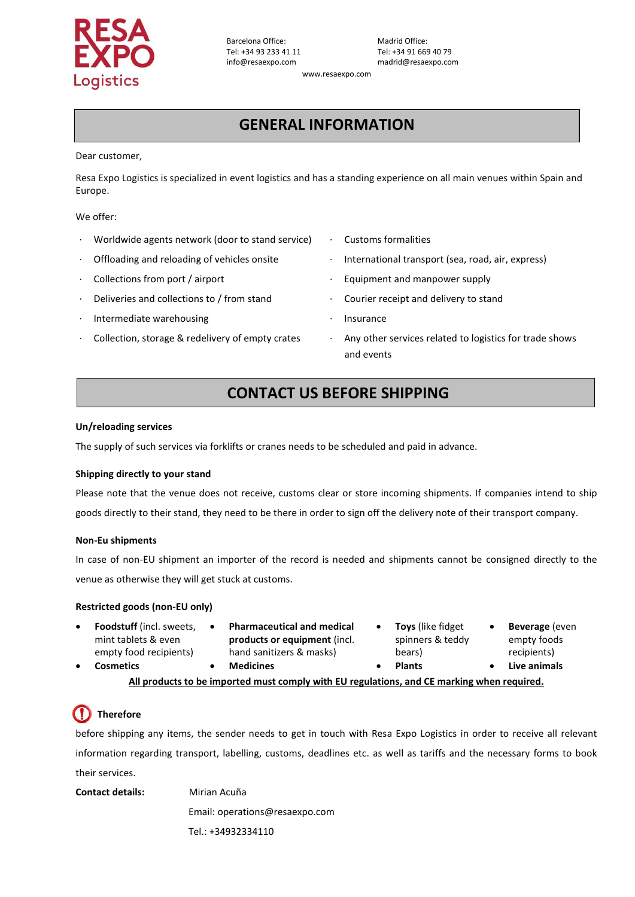

Barcelona Office: Madrid Office:<br>
Tel: +34 93 233 41 11 Tel: +34 91 669 Tel: +34 93 233 41 11 Tel: +34 91 669 40 79<br>info@resaexpo.com madrid@resaexpo.com

madrid@resaexpo.com

[www.resaexpo.com](http://www.resaexpo.com/)

# **GENERAL INFORMATION**

Dear customer,

Resa Expo Logistics is specialized in event logistics and has a standing experience on all main venues within Spain and Europe.

We offer:

- Worldwide agents network (door to stand service) · Customs formalities
- 
- 
- Deliveries and collections to / from stand **· Courier receipt and delivery to stand**
- Intermediate warehousing and the settlement of the Insurance
- 
- 
- · Offloading and reloading of vehicles onsite · International transport (sea, road, air, express)
	- Collections from port / airport **butter and manufacture in the Collections** from port / airport
		-
		-
	- Collection, storage & redelivery of empty crates · Any other services related to logistics for trade shows and events

### **CONTACT US BEFORE SHIPPING**

### **Un/reloading services**

The supply of such services via forklifts or cranes needs to be scheduled and paid in advance.

### **Shipping directly to your stand**

Please note that the venue does not receive, customs clear or store incoming shipments. If companies intend to ship goods directly to their stand, they need to be there in order to sign off the delivery note of their transport company.

### **Non-Eu shipments**

In case of non-EU shipment an importer of the record is needed and shipments cannot be consigned directly to the venue as otherwise they will get stuck at customs.

### **Restricted goods (non-EU only)**

- **Foodstuff** (incl. sweets, mint tablets & even empty food recipients)
- **Pharmaceutical and medical products or equipment** (incl. hand sanitizers & masks)
- **Toys** (like fidget spinners & teddy bears)
- **Beverage** (even empty foods recipients)

• **Cosmetics** • **Medicines** • **Plants** • **Live animals**

**All products to be imported must comply with EU regulations, and CE marking when required.**

# **Therefore**

before shipping any items, the sender needs to get in touch with Resa Expo Logistics in order to receive all relevant information regarding transport, labelling, customs, deadlines etc. as well as tariffs and the necessary forms to book their services.

**Contact details:** Mirian Acuña

Email: operations@resaexpo.com

Tel.: +34932334110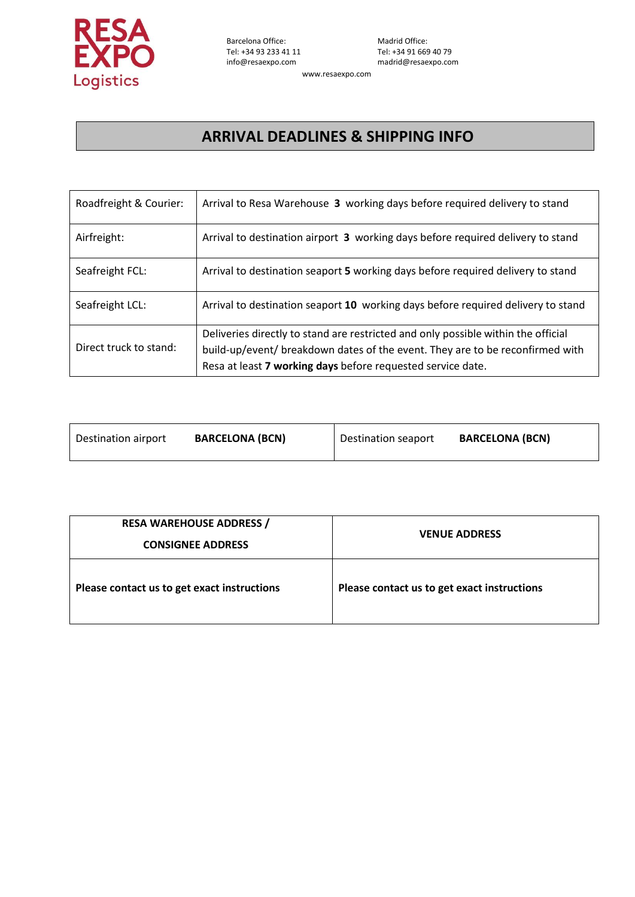

[www.resaexpo.com](http://www.resaexpo.com/)

## **ARRIVAL DEADLINES & SHIPPING INFO**

| Roadfreight & Courier: | Arrival to Resa Warehouse 3 working days before required delivery to stand        |
|------------------------|-----------------------------------------------------------------------------------|
| Airfreight:            | Arrival to destination airport 3 working days before required delivery to stand   |
| Seafreight FCL:        | Arrival to destination seaport 5 working days before required delivery to stand   |
| Seafreight LCL:        | Arrival to destination seaport 10 working days before required delivery to stand  |
|                        | Deliveries directly to stand are restricted and only possible within the official |
| Direct truck to stand: | build-up/event/ breakdown dates of the event. They are to be reconfirmed with     |
|                        | Resa at least 7 working days before requested service date.                       |

| Destination airport | <b>BARCELONA (BCN)</b> | Destination seaport | <b>BARCELONA (BCN)</b> |
|---------------------|------------------------|---------------------|------------------------|
|                     |                        |                     |                        |

| <b>RESA WAREHOUSE ADDRESS /</b><br><b>CONSIGNEE ADDRESS</b> | <b>VENUE ADDRESS</b>                        |  |
|-------------------------------------------------------------|---------------------------------------------|--|
| Please contact us to get exact instructions                 | Please contact us to get exact instructions |  |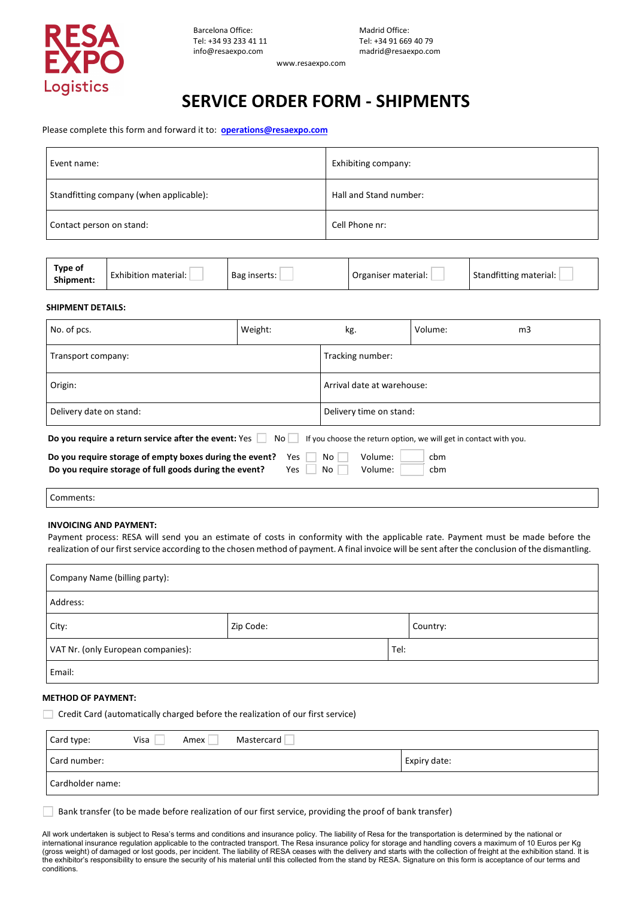

www.resaexpo.com

# **SERVICE ORDER FORM - SHIPMENTS**

Please complete this form and forward it to: **operati[ons@resaexpo.com](mailto:operations@resaexpo.com)**

| Event name:                             | Exhibiting company:    |  |
|-----------------------------------------|------------------------|--|
| Standfitting company (when applicable): | Hall and Stand number: |  |
| Contact person on stand:                | Cell Phone nr:         |  |

| Type of<br>Shipment: | Exhibition material: | Bag inserts: | Organiser material: | Standfitting material: |
|----------------------|----------------------|--------------|---------------------|------------------------|
|----------------------|----------------------|--------------|---------------------|------------------------|

#### **SHIPMENT DETAILS:**

| No. of pcs.                                                                                                                                                                 | Weight:                        | kg.                                                                             | Volume: | m <sub>3</sub> |
|-----------------------------------------------------------------------------------------------------------------------------------------------------------------------------|--------------------------------|---------------------------------------------------------------------------------|---------|----------------|
| Transport company:                                                                                                                                                          | Tracking number:               |                                                                                 |         |                |
| Origin:                                                                                                                                                                     | Arrival date at warehouse:     |                                                                                 |         |                |
| Delivery date on stand:                                                                                                                                                     | Delivery time on stand:        |                                                                                 |         |                |
| Do you require a return service after the event: Yes  <br>Do you require storage of empty boxes during the event?<br>Do you require storage of full goods during the event? | Volume:<br>No<br>Volume:<br>No | If you choose the return option, we will get in contact with you.<br>cbm<br>cbm |         |                |

Comments:

#### **INVOICING AND PAYMENT:**

Payment process: RESA will send you an estimate of costs in conformity with the applicable rate. Payment must be made before the realization of our first service according to the chosen method of payment. A final invoice will be sent after the conclusion of the dismantling.

| Company Name (billing party):              |           |  |          |  |
|--------------------------------------------|-----------|--|----------|--|
| Address:                                   |           |  |          |  |
| City:                                      | Zip Code: |  | Country: |  |
| VAT Nr. (only European companies):<br>Tel: |           |  |          |  |
| Email:                                     |           |  |          |  |

#### **METHOD OF PAYMENT:**

Credit Card (automatically charged before the realization of our first service)

| Card type:       | Visa | Amex | Mastercard |              |
|------------------|------|------|------------|--------------|
| Card number:     |      |      |            | Expiry date: |
| Cardholder name: |      |      |            |              |

Bank transfer (to be made before realization of our first service, providing the proof of bank transfer)

All work undertaken is subject to Resa's terms and conditions and insurance policy. The liability of Resa for the transportation is determined by the national or international insurance regulation applicable to the contracted transport. The Resa insurance policy for storage and handling covers a maximum of 10 Euros per Kg (gross weight) of damaged or lost goods, per incident. The liability of RESA ceases with the delivery and starts with the collection of freight at the exhibition stand. It is the exhibitor's responsibility to ensure the security of his material until this collected from the stand by RESA. Signature on this form is acceptance of our terms and conditions.